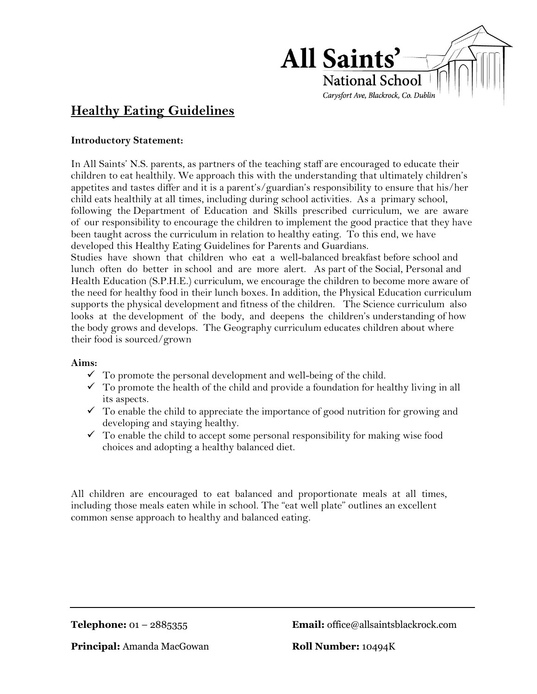

## **Healthy Eating Guidelines**

#### **Introductory Statement:**

In All Saints' N.S. parents, as partners of the teaching staff are encouraged to educate their children to eat healthily. We approach this with the understanding that ultimately children's appetites and tastes differ and it is a parent's/guardian's responsibility to ensure that his/her child eats healthily at all times, including during school activities. As a primary school, following the Department of Education and Skills prescribed curriculum, we are aware of our responsibility to encourage the children to implement the good practice that they have been taught across the curriculum in relation to healthy eating. To this end, we have developed this Healthy Eating Guidelines for Parents and Guardians.

Studies have shown that children who eat a well-balanced breakfast before school and lunch often do better in school and are more alert. As part of the Social, Personal and Health Education (S.P.H.E.) curriculum, we encourage the children to become more aware of the need for healthy food in their lunch boxes. In addition, the Physical Education curriculum supports the physical development and fitness of the children. The Science curriculum also looks at the development of the body, and deepens the children's understanding of how the body grows and develops. The Geography curriculum educates children about where their food is sourced/grown

#### **Aims:**

- $\checkmark$  To promote the personal development and well-being of the child.
- $\checkmark$  To promote the health of the child and provide a foundation for healthy living in all its aspects.
- $\checkmark$  To enable the child to appreciate the importance of good nutrition for growing and developing and staying healthy.
- $\checkmark$  To enable the child to accept some personal responsibility for making wise food choices and adopting a healthy balanced diet.

All children are encouraged to eat balanced and proportionate meals at all times, including those meals eaten while in school. The "eat well plate" outlines an excellent common sense approach to healthy and balanced eating.

**Telephone:** 01 – 2885355 **Email:** office@allsaintsblackrock.com

**Principal:** Amanda MacGowan **Roll Number:** 10494K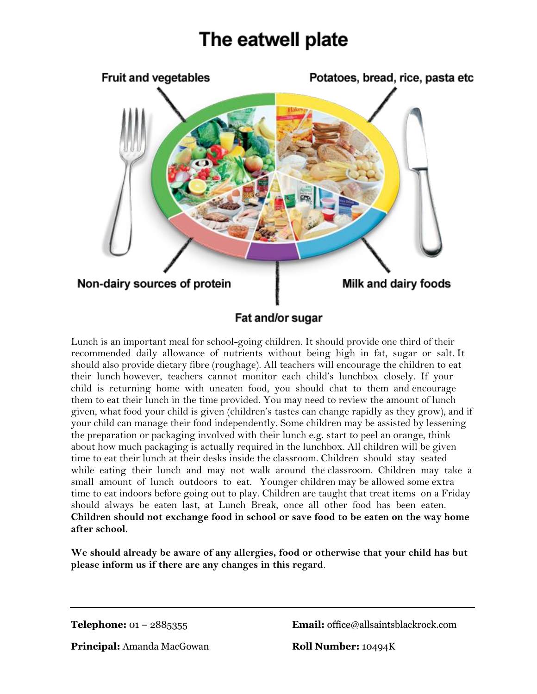# The eatwell plate



### Fat and/or sugar

Lunch is an important meal for school-going children. It should provide one third of their recommended daily allowance of nutrients without being high in fat, sugar or salt. It should also provide dietary fibre (roughage). All teachers will encourage the children to eat their lunch however, teachers cannot monitor each child's lunchbox closely. If your child is returning home with uneaten food, you should chat to them and encourage them to eat their lunch in the time provided. You may need to review the amount of lunch given, what food your child is given (children's tastes can change rapidly as they grow), and if your child can manage their food independently. Some children may be assisted by lessening the preparation or packaging involved with their lunch e.g. start to peel an orange, think about how much packaging is actually required in the lunchbox. All children will be given time to eat their lunch at their desks inside the classroom. Children should stay seated while eating their lunch and may not walk around the classroom. Children may take a small amount of lunch outdoors to eat. Younger children may be allowed some extra time to eat indoors before going out to play. Children are taught that treat items on a Friday should always be eaten last, at Lunch Break, once all other food has been eaten. **Children should not exchange food in school or save food to be eaten on the way home after school.**

**We should already be aware of any allergies, food or otherwise that your child has but please inform us if there are any changes in this regard**.

**Telephone:** 01 – 2885355 **Email:** office@allsaintsblackrock.com

**Principal:** Amanda MacGowan **Roll Number:** 10494K